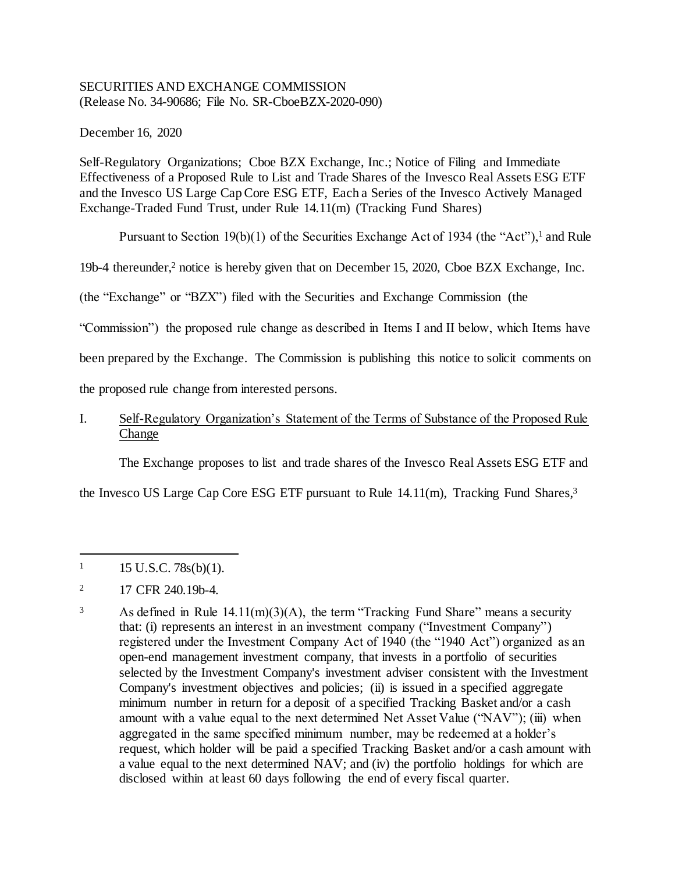# SECURITIES AND EXCHANGE COMMISSION (Release No. 34-90686; File No. SR-CboeBZX-2020-090)

December 16, 2020

Self-Regulatory Organizations; Cboe BZX Exchange, Inc.; Notice of Filing and Immediate Effectiveness of a Proposed Rule to List and Trade Shares of the Invesco Real Assets ESG ETF and the Invesco US Large Cap Core ESG ETF, Each a Series of the Invesco Actively Managed Exchange-Traded Fund Trust, under Rule 14.11(m) (Tracking Fund Shares)

Pursuant to Section 19(b)(1) of the Securities Exchange Act of 1934 (the "Act"),<sup>1</sup> and Rule

19b-4 thereunder,<sup>2</sup> notice is hereby given that on December 15, 2020, Cboe BZX Exchange, Inc.

(the "Exchange" or "BZX") filed with the Securities and Exchange Commission (the

"Commission") the proposed rule change as described in Items I and II below, which Items have

been prepared by the Exchange. The Commission is publishing this notice to solicit comments on

the proposed rule change from interested persons.

# I. Self-Regulatory Organization's Statement of the Terms of Substance of the Proposed Rule Change

The Exchange proposes to list and trade shares of the Invesco Real Assets ESG ETF and

the Invesco US Large Cap Core ESG ETF pursuant to Rule 14.11(m), Tracking Fund Shares,<sup>3</sup>

j  $1 \quad 15 \text{ U.S.C. } 78 \text{s(b)}(1).$ 

<sup>&</sup>lt;sup>2</sup> 17 CFR 240.19b-4.

<sup>&</sup>lt;sup>3</sup> As defined in Rule 14.11(m)(3)(A), the term "Tracking Fund Share" means a security that: (i) represents an interest in an investment company ("Investment Company") registered under the Investment Company Act of 1940 (the "1940 Act") organized as an open-end management investment company, that invests in a portfolio of securities selected by the Investment Company's investment adviser consistent with the Investment Company's investment objectives and policies; (ii) is issued in a specified aggregate minimum number in return for a deposit of a specified Tracking Basket and/or a cash amount with a value equal to the next determined Net Asset Value ("NAV"); (iii) when aggregated in the same specified minimum number, may be redeemed at a holder's request, which holder will be paid a specified Tracking Basket and/or a cash amount with a value equal to the next determined NAV; and (iv) the portfolio holdings for which are disclosed within at least 60 days following the end of every fiscal quarter.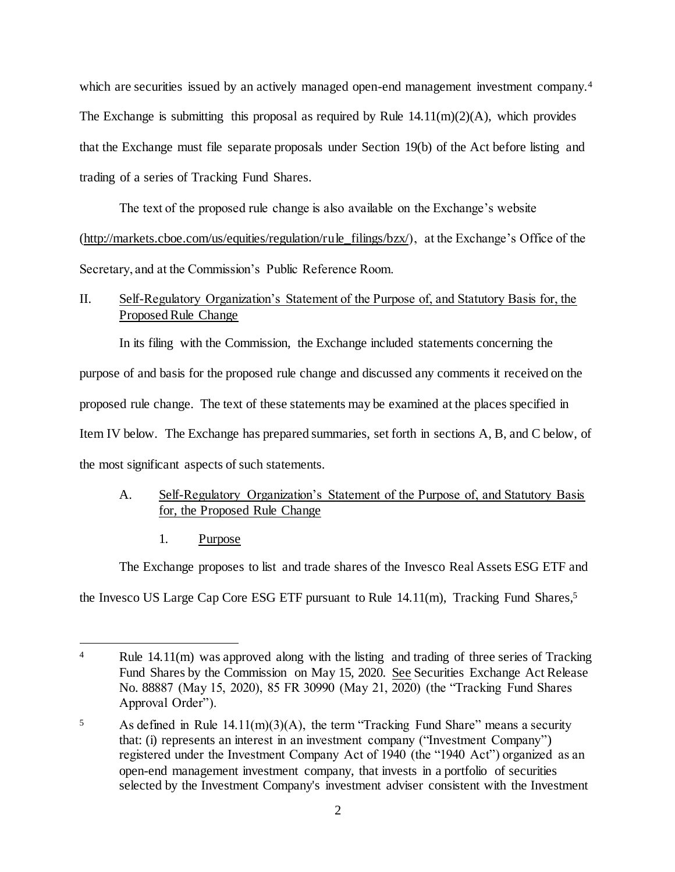which are securities issued by an actively managed open-end management investment company.<sup>4</sup> The Exchange is submitting this proposal as required by Rule  $14.11(m)(2)(A)$ , which provides that the Exchange must file separate proposals under Section 19(b) of the Act before listing and trading of a series of Tracking Fund Shares.

The text of the proposed rule change is also available on the Exchange's website (http://markets.cboe.com/us/equities/regulation/rule\_filings/bzx/), at the Exchange's Office of the Secretary, and at the Commission's Public Reference Room.

# II. Self-Regulatory Organization's Statement of the Purpose of, and Statutory Basis for, the Proposed Rule Change

In its filing with the Commission, the Exchange included statements concerning the purpose of and basis for the proposed rule change and discussed any comments it received on the proposed rule change. The text of these statements may be examined at the places specified in Item IV below. The Exchange has prepared summaries, set forth in sections A, B, and C below, of the most significant aspects of such statements.

# A. Self-Regulatory Organization's Statement of the Purpose of, and Statutory Basis for, the Proposed Rule Change

1. Purpose

l

The Exchange proposes to list and trade shares of the Invesco Real Assets ESG ETF and

the Invesco US Large Cap Core ESG ETF pursuant to Rule 14.11(m), Tracking Fund Shares,<sup>5</sup>

<sup>&</sup>lt;sup>4</sup> Rule 14.11(m) was approved along with the listing and trading of three series of Tracking Fund Shares by the Commission on May 15, 2020. See Securities Exchange Act Release No. 88887 (May 15, 2020), 85 FR 30990 (May 21, 2020) (the "Tracking Fund Shares Approval Order").

<sup>&</sup>lt;sup>5</sup> As defined in Rule 14.11(m)(3)(A), the term "Tracking Fund Share" means a security that: (i) represents an interest in an investment company ("Investment Company") registered under the Investment Company Act of 1940 (the "1940 Act") organized as an open-end management investment company, that invests in a portfolio of securities selected by the Investment Company's investment adviser consistent with the Investment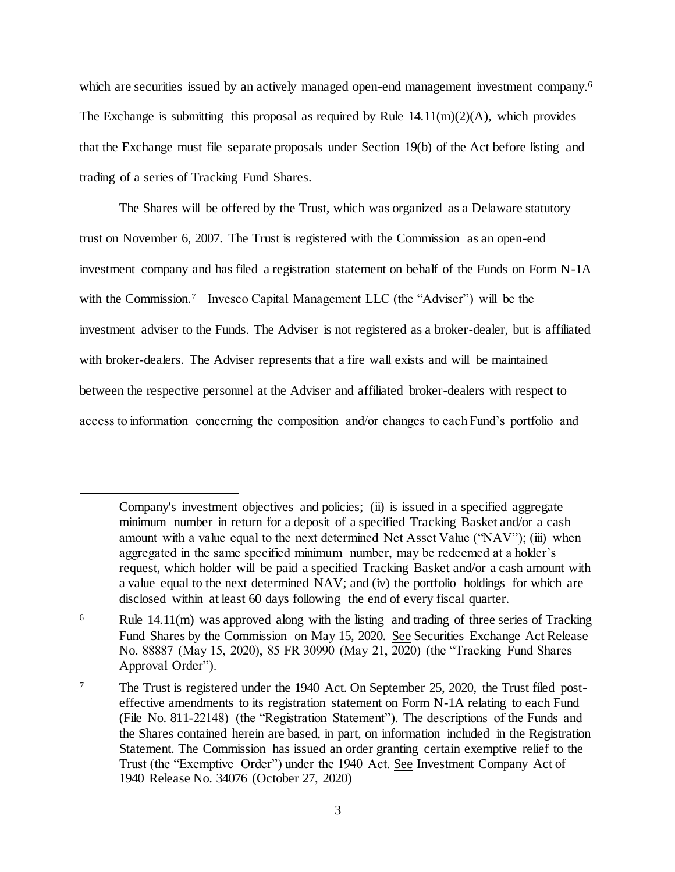which are securities issued by an actively managed open-end management investment company.<sup>6</sup> The Exchange is submitting this proposal as required by Rule  $14.11(m)(2)(A)$ , which provides that the Exchange must file separate proposals under Section 19(b) of the Act before listing and trading of a series of Tracking Fund Shares.

The Shares will be offered by the Trust, which was organized as a Delaware statutory trust on November 6, 2007. The Trust is registered with the Commission as an open-end investment company and has filed a registration statement on behalf of the Funds on Form N-1A with the Commission.<sup>7</sup> Invesco Capital Management LLC (the "Adviser") will be the investment adviser to the Funds. The Adviser is not registered as a broker-dealer, but is affiliated with broker-dealers. The Adviser represents that a fire wall exists and will be maintained between the respective personnel at the Adviser and affiliated broker-dealers with respect to access to information concerning the composition and/or changes to each Fund's portfolio and

Company's investment objectives and policies; (ii) is issued in a specified aggregate minimum number in return for a deposit of a specified Tracking Basket and/or a cash amount with a value equal to the next determined Net Asset Value ("NAV"); (iii) when aggregated in the same specified minimum number, may be redeemed at a holder's request, which holder will be paid a specified Tracking Basket and/or a cash amount with a value equal to the next determined NAV; and (iv) the portfolio holdings for which are disclosed within at least 60 days following the end of every fiscal quarter.

<sup>6</sup> Rule 14.11(m) was approved along with the listing and trading of three series of Tracking Fund Shares by the Commission on May 15, 2020. See Securities Exchange Act Release No. 88887 (May 15, 2020), 85 FR 30990 (May 21, 2020) (the "Tracking Fund Shares Approval Order").

<sup>7</sup> The Trust is registered under the 1940 Act. On September 25, 2020, the Trust filed posteffective amendments to its registration statement on Form N-1A relating to each Fund (File No. 811-22148) (the "Registration Statement"). The descriptions of the Funds and the Shares contained herein are based, in part, on information included in the Registration Statement. The Commission has issued an order granting certain exemptive relief to the Trust (the "Exemptive Order") under the 1940 Act. See Investment Company Act of 1940 Release No. 34076 (October 27, 2020)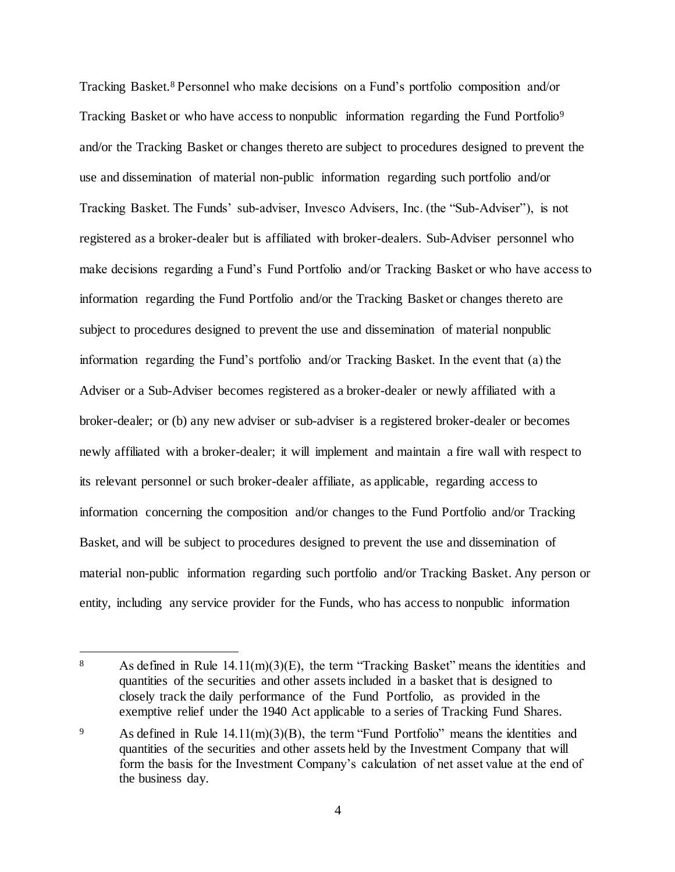Tracking Basket.<sup>8</sup> Personnel who make decisions on a Fund's portfolio composition and/or Tracking Basket or who have access to nonpublic information regarding the Fund Portfolio<sup>9</sup> and/or the Tracking Basket or changes thereto are subject to procedures designed to prevent the use and dissemination of material non-public information regarding such portfolio and/or Tracking Basket. The Funds' sub-adviser, Invesco Advisers, Inc. (the "Sub-Adviser"), is not registered as a broker-dealer but is affiliated with broker-dealers. Sub-Adviser personnel who make decisions regarding a Fund's Fund Portfolio and/or Tracking Basket or who have access to information regarding the Fund Portfolio and/or the Tracking Basket or changes thereto are subject to procedures designed to prevent the use and dissemination of material nonpublic information regarding the Fund's portfolio and/or Tracking Basket. In the event that (a) the Adviser or a Sub-Adviser becomes registered as a broker-dealer or newly affiliated with a broker-dealer; or (b) any new adviser or sub-adviser is a registered broker-dealer or becomes newly affiliated with a broker-dealer; it will implement and maintain a fire wall with respect to its relevant personnel or such broker-dealer affiliate, as applicable, regarding access to information concerning the composition and/or changes to the Fund Portfolio and/or Tracking Basket, and will be subject to procedures designed to prevent the use and dissemination of material non-public information regarding such portfolio and/or Tracking Basket. Any person or entity, including any service provider for the Funds, who has access to nonpublic information

<sup>8</sup> As defined in Rule  $14.11(m)(3)(E)$ , the term "Tracking Basket" means the identities and quantities of the securities and other assets included in a basket that is designed to closely track the daily performance of the Fund Portfolio, as provided in the exemptive relief under the 1940 Act applicable to a series of Tracking Fund Shares.

<sup>9</sup> As defined in Rule 14.11(m)(3)(B), the term "Fund Portfolio" means the identities and quantities of the securities and other assets held by the Investment Company that will form the basis for the Investment Company's calculation of net asset value at the end of the business day.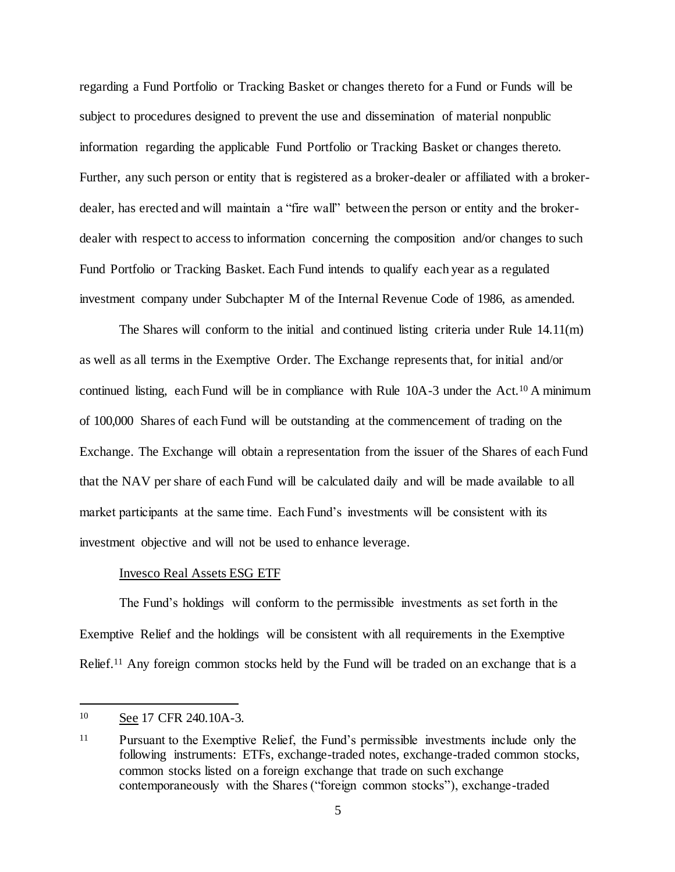regarding a Fund Portfolio or Tracking Basket or changes thereto for a Fund or Funds will be subject to procedures designed to prevent the use and dissemination of material nonpublic information regarding the applicable Fund Portfolio or Tracking Basket or changes thereto. Further, any such person or entity that is registered as a broker-dealer or affiliated with a brokerdealer, has erected and will maintain a "fire wall" between the person or entity and the brokerdealer with respect to access to information concerning the composition and/or changes to such Fund Portfolio or Tracking Basket. Each Fund intends to qualify each year as a regulated investment company under Subchapter M of the Internal Revenue Code of 1986, as amended.

The Shares will conform to the initial and continued listing criteria under Rule 14.11(m) as well as all terms in the Exemptive Order. The Exchange represents that, for initial and/or continued listing, each Fund will be in compliance with Rule 10A-3 under the Act.<sup>10</sup> A minimum of 100,000 Shares of each Fund will be outstanding at the commencement of trading on the Exchange. The Exchange will obtain a representation from the issuer of the Shares of each Fund that the NAV per share of each Fund will be calculated daily and will be made available to all market participants at the same time. Each Fund's investments will be consistent with its investment objective and will not be used to enhance leverage.

#### Invesco Real Assets ESG ETF

The Fund's holdings will conform to the permissible investments as set forth in the Exemptive Relief and the holdings will be consistent with all requirements in the Exemptive Relief.<sup>11</sup> Any foreign common stocks held by the Fund will be traded on an exchange that is a

<sup>10</sup> See 17 CFR 240.10A-3.

<sup>11</sup> Pursuant to the Exemptive Relief, the Fund's permissible investments include only the following instruments: ETFs, exchange-traded notes, exchange-traded common stocks, common stocks listed on a foreign exchange that trade on such exchange contemporaneously with the Shares ("foreign common stocks"), exchange-traded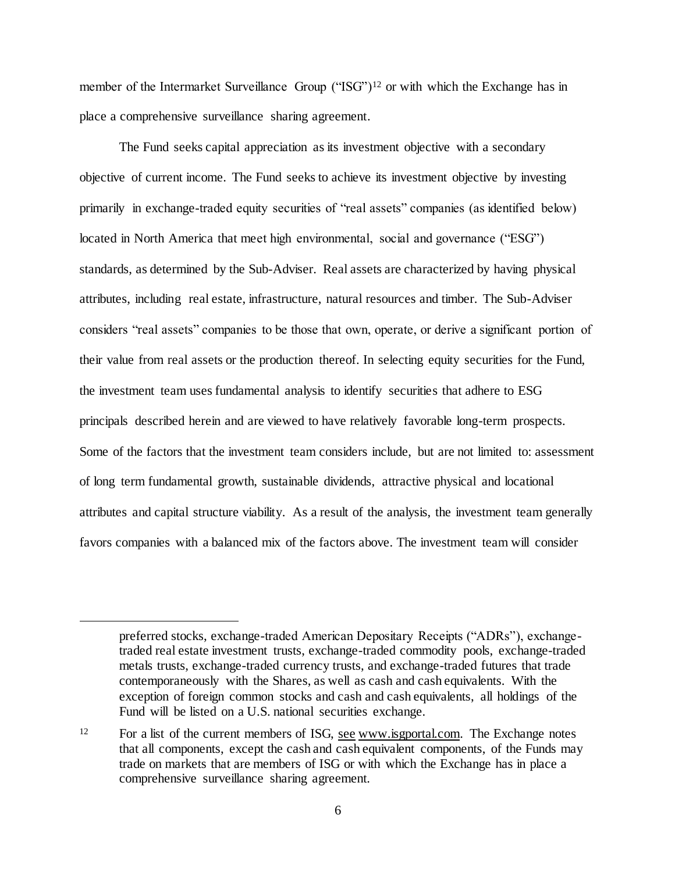member of the Intermarket Surveillance Group ("ISG")<sup>12</sup> or with which the Exchange has in place a comprehensive surveillance sharing agreement.

The Fund seeks capital appreciation as its investment objective with a secondary objective of current income. The Fund seeks to achieve its investment objective by investing primarily in exchange-traded equity securities of "real assets" companies (as identified below) located in North America that meet high environmental, social and governance ("ESG") standards, as determined by the Sub-Adviser. Real assets are characterized by having physical attributes, including real estate, infrastructure, natural resources and timber. The Sub-Adviser considers "real assets" companies to be those that own, operate, or derive a significant portion of their value from real assets or the production thereof. In selecting equity securities for the Fund, the investment team uses fundamental analysis to identify securities that adhere to ESG principals described herein and are viewed to have relatively favorable long-term prospects. Some of the factors that the investment team considers include, but are not limited to: assessment of long term fundamental growth, sustainable dividends, attractive physical and locational attributes and capital structure viability. As a result of the analysis, the investment team generally favors companies with a balanced mix of the factors above. The investment team will consider

preferred stocks, exchange-traded American Depositary Receipts ("ADRs"), exchangetraded real estate investment trusts, exchange-traded commodity pools, exchange-traded metals trusts, exchange-traded currency trusts, and exchange-traded futures that trade contemporaneously with the Shares, as well as cash and cash equivalents. With the exception of foreign common stocks and cash and cash equivalents, all holdings of the Fund will be listed on a U.S. national securities exchange.

<sup>&</sup>lt;sup>12</sup> For a list of the current members of ISG, see www.isgportal.com. The Exchange notes that all components, except the cash and cash equivalent components, of the Funds may trade on markets that are members of ISG or with which the Exchange has in place a comprehensive surveillance sharing agreement.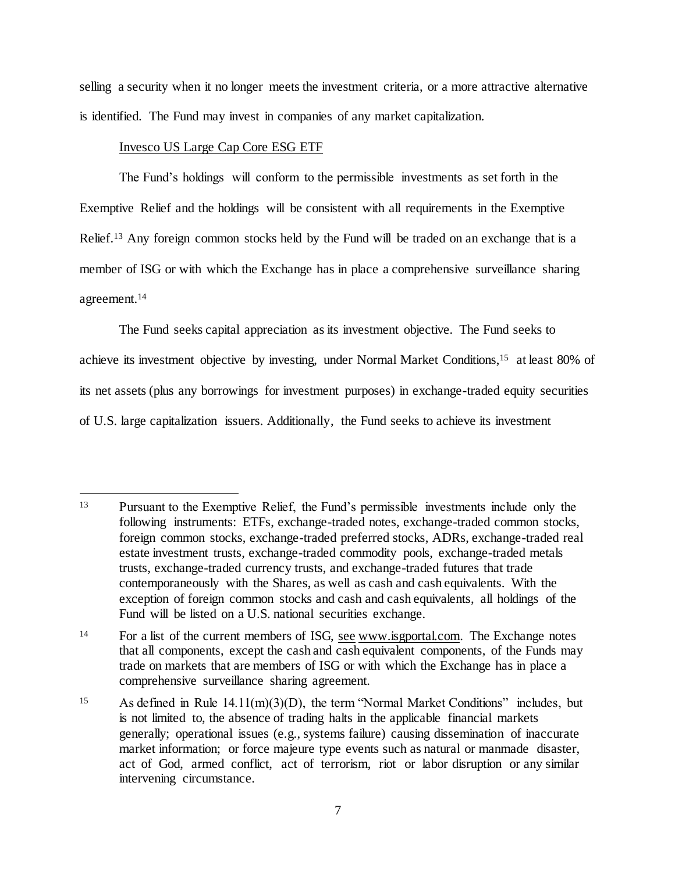selling a security when it no longer meets the investment criteria, or a more attractive alternative is identified. The Fund may invest in companies of any market capitalization.

# Invesco US Large Cap Core ESG ETF

l

The Fund's holdings will conform to the permissible investments as set forth in the Exemptive Relief and the holdings will be consistent with all requirements in the Exemptive Relief.<sup>13</sup> Any foreign common stocks held by the Fund will be traded on an exchange that is a member of ISG or with which the Exchange has in place a comprehensive surveillance sharing agreement. 14

The Fund seeks capital appreciation as its investment objective. The Fund seeks to achieve its investment objective by investing, under Normal Market Conditions,<sup>15</sup> at least 80% of its net assets (plus any borrowings for investment purposes) in exchange-traded equity securities of U.S. large capitalization issuers. Additionally, the Fund seeks to achieve its investment

<sup>13</sup> Pursuant to the Exemptive Relief, the Fund's permissible investments include only the following instruments: ETFs, exchange-traded notes, exchange-traded common stocks, foreign common stocks, exchange-traded preferred stocks, ADRs, exchange-traded real estate investment trusts, exchange-traded commodity pools, exchange-traded metals trusts, exchange-traded currency trusts, and exchange-traded futures that trade contemporaneously with the Shares, as well as cash and cash equivalents. With the exception of foreign common stocks and cash and cash equivalents, all holdings of the Fund will be listed on a U.S. national securities exchange.

<sup>14</sup> For a list of the current members of ISG, see www.isgportal.com. The Exchange notes that all components, except the cash and cash equivalent components, of the Funds may trade on markets that are members of ISG or with which the Exchange has in place a comprehensive surveillance sharing agreement.

<sup>15</sup> As defined in Rule 14.11(m)(3)(D), the term "Normal Market Conditions" includes, but is not limited to, the absence of trading halts in the applicable financial markets generally; operational issues (e.g., systems failure) causing dissemination of inaccurate market information; or force majeure type events such as natural or manmade disaster, act of God, armed conflict, act of terrorism, riot or labor disruption or any similar intervening circumstance.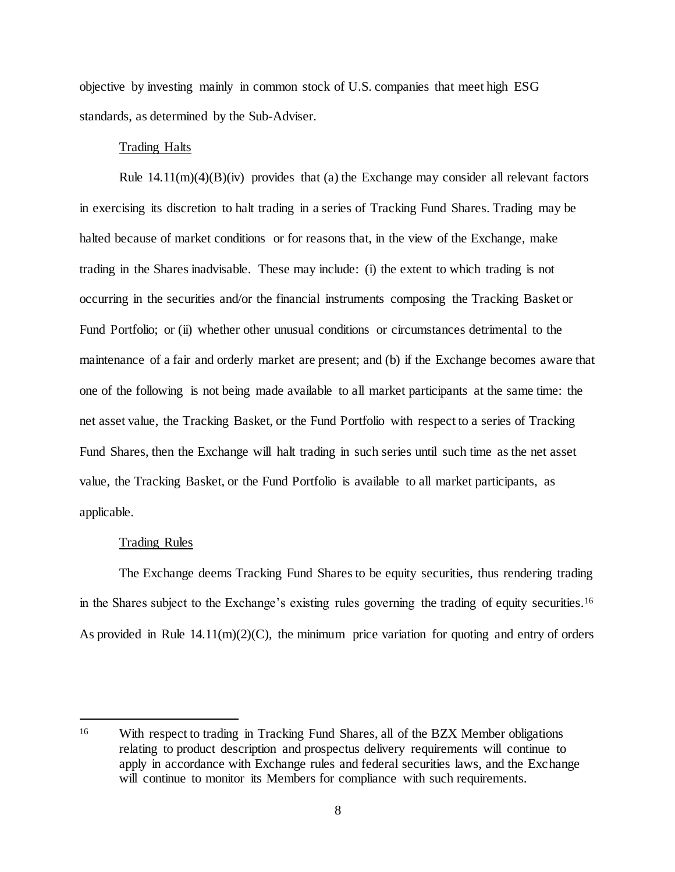objective by investing mainly in common stock of U.S. companies that meet high ESG standards, as determined by the Sub-Adviser.

## Trading Halts

Rule  $14.11(m)(4)(B)(iv)$  provides that (a) the Exchange may consider all relevant factors in exercising its discretion to halt trading in a series of Tracking Fund Shares. Trading may be halted because of market conditions or for reasons that, in the view of the Exchange, make trading in the Shares inadvisable. These may include: (i) the extent to which trading is not occurring in the securities and/or the financial instruments composing the Tracking Basket or Fund Portfolio; or (ii) whether other unusual conditions or circumstances detrimental to the maintenance of a fair and orderly market are present; and (b) if the Exchange becomes aware that one of the following is not being made available to all market participants at the same time: the net asset value, the Tracking Basket, or the Fund Portfolio with respect to a series of Tracking Fund Shares, then the Exchange will halt trading in such series until such time as the net asset value, the Tracking Basket, or the Fund Portfolio is available to all market participants, as applicable.

#### Trading Rules

l

The Exchange deems Tracking Fund Shares to be equity securities, thus rendering trading in the Shares subject to the Exchange's existing rules governing the trading of equity securities.<sup>16</sup> As provided in Rule  $14.11(m)(2)(C)$ , the minimum price variation for quoting and entry of orders

<sup>16</sup> With respect to trading in Tracking Fund Shares, all of the BZX Member obligations relating to product description and prospectus delivery requirements will continue to apply in accordance with Exchange rules and federal securities laws, and the Exchange will continue to monitor its Members for compliance with such requirements.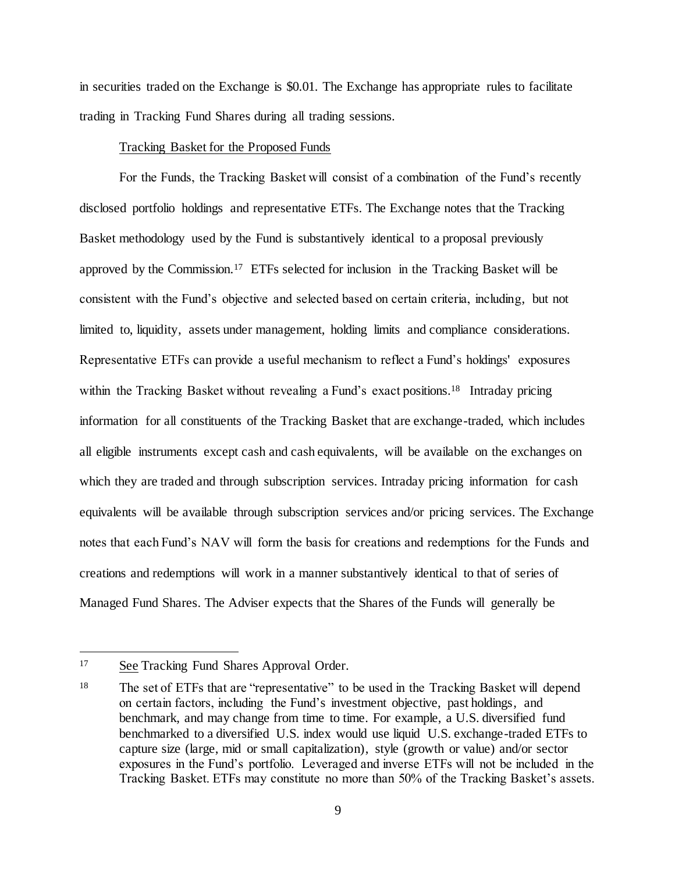in securities traded on the Exchange is \$0.01. The Exchange has appropriate rules to facilitate trading in Tracking Fund Shares during all trading sessions.

### Tracking Basket for the Proposed Funds

For the Funds, the Tracking Basket will consist of a combination of the Fund's recently disclosed portfolio holdings and representative ETFs. The Exchange notes that the Tracking Basket methodology used by the Fund is substantively identical to a proposal previously approved by the Commission.<sup>17</sup> ETFs selected for inclusion in the Tracking Basket will be consistent with the Fund's objective and selected based on certain criteria, including, but not limited to, liquidity, assets under management, holding limits and compliance considerations. Representative ETFs can provide a useful mechanism to reflect a Fund's holdings' exposures within the Tracking Basket without revealing a Fund's exact positions.<sup>18</sup> Intraday pricing information for all constituents of the Tracking Basket that are exchange-traded, which includes all eligible instruments except cash and cash equivalents, will be available on the exchanges on which they are traded and through subscription services. Intraday pricing information for cash equivalents will be available through subscription services and/or pricing services. The Exchange notes that each Fund's NAV will form the basis for creations and redemptions for the Funds and creations and redemptions will work in a manner substantively identical to that of series of Managed Fund Shares. The Adviser expects that the Shares of the Funds will generally be

<sup>&</sup>lt;sup>17</sup> See Tracking Fund Shares Approval Order.

<sup>18</sup> The set of ETFs that are "representative" to be used in the Tracking Basket will depend on certain factors, including the Fund's investment objective, past holdings, and benchmark, and may change from time to time. For example, a U.S. diversified fund benchmarked to a diversified U.S. index would use liquid U.S. exchange-traded ETFs to capture size (large, mid or small capitalization), style (growth or value) and/or sector exposures in the Fund's portfolio. Leveraged and inverse ETFs will not be included in the Tracking Basket. ETFs may constitute no more than 50% of the Tracking Basket's assets.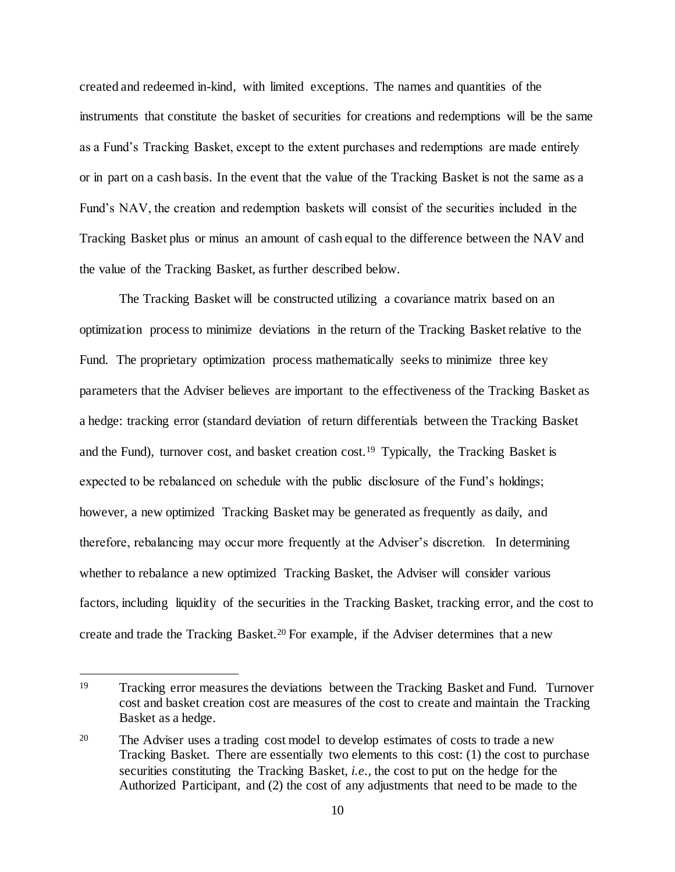created and redeemed in-kind, with limited exceptions. The names and quantities of the instruments that constitute the basket of securities for creations and redemptions will be the same as a Fund's Tracking Basket, except to the extent purchases and redemptions are made entirely or in part on a cash basis. In the event that the value of the Tracking Basket is not the same as a Fund's NAV, the creation and redemption baskets will consist of the securities included in the Tracking Basket plus or minus an amount of cash equal to the difference between the NAV and the value of the Tracking Basket, as further described below.

The Tracking Basket will be constructed utilizing a covariance matrix based on an optimization process to minimize deviations in the return of the Tracking Basket relative to the Fund. The proprietary optimization process mathematically seeks to minimize three key parameters that the Adviser believes are important to the effectiveness of the Tracking Basket as a hedge: tracking error (standard deviation of return differentials between the Tracking Basket and the Fund), turnover cost, and basket creation cost.<sup>19</sup> Typically, the Tracking Basket is expected to be rebalanced on schedule with the public disclosure of the Fund's holdings; however, a new optimized Tracking Basket may be generated as frequently as daily, and therefore, rebalancing may occur more frequently at the Adviser's discretion. In determining whether to rebalance a new optimized Tracking Basket, the Adviser will consider various factors, including liquidity of the securities in the Tracking Basket, tracking error, and the cost to create and trade the Tracking Basket.<sup>20</sup> For example, if the Adviser determines that a new

<sup>19</sup> Tracking error measures the deviations between the Tracking Basket and Fund. Turnover cost and basket creation cost are measures of the cost to create and maintain the Tracking Basket as a hedge.

<sup>20</sup> The Adviser uses a trading cost model to develop estimates of costs to trade a new Tracking Basket. There are essentially two elements to this cost: (1) the cost to purchase securities constituting the Tracking Basket, *i.e.,* the cost to put on the hedge for the Authorized Participant, and (2) the cost of any adjustments that need to be made to the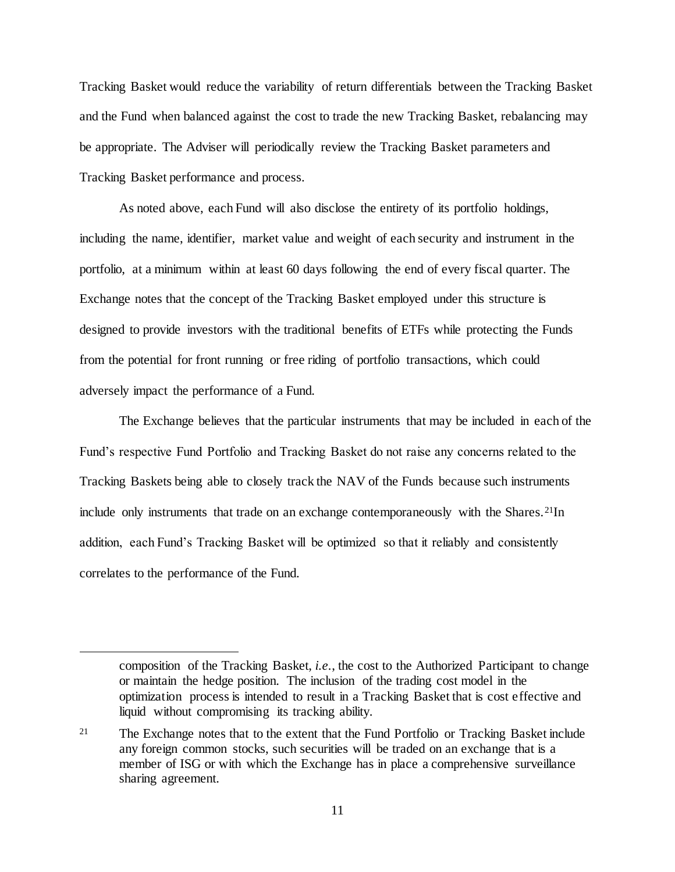Tracking Basket would reduce the variability of return differentials between the Tracking Basket and the Fund when balanced against the cost to trade the new Tracking Basket, rebalancing may be appropriate. The Adviser will periodically review the Tracking Basket parameters and Tracking Basket performance and process.

As noted above, each Fund will also disclose the entirety of its portfolio holdings, including the name, identifier, market value and weight of each security and instrument in the portfolio, at a minimum within at least 60 days following the end of every fiscal quarter. The Exchange notes that the concept of the Tracking Basket employed under this structure is designed to provide investors with the traditional benefits of ETFs while protecting the Funds from the potential for front running or free riding of portfolio transactions, which could adversely impact the performance of a Fund.

The Exchange believes that the particular instruments that may be included in each of the Fund's respective Fund Portfolio and Tracking Basket do not raise any concerns related to the Tracking Baskets being able to closely track the NAV of the Funds because such instruments include only instruments that trade on an exchange contemporaneously with the Shares.21In addition, each Fund's Tracking Basket will be optimized so that it reliably and consistently correlates to the performance of the Fund.

composition of the Tracking Basket, *i.e.*, the cost to the Authorized Participant to change or maintain the hedge position. The inclusion of the trading cost model in the optimization process is intended to result in a Tracking Basket that is cost effective and liquid without compromising its tracking ability.

<sup>&</sup>lt;sup>21</sup> The Exchange notes that to the extent that the Fund Portfolio or Tracking Basket include any foreign common stocks, such securities will be traded on an exchange that is a member of ISG or with which the Exchange has in place a comprehensive surveillance sharing agreement.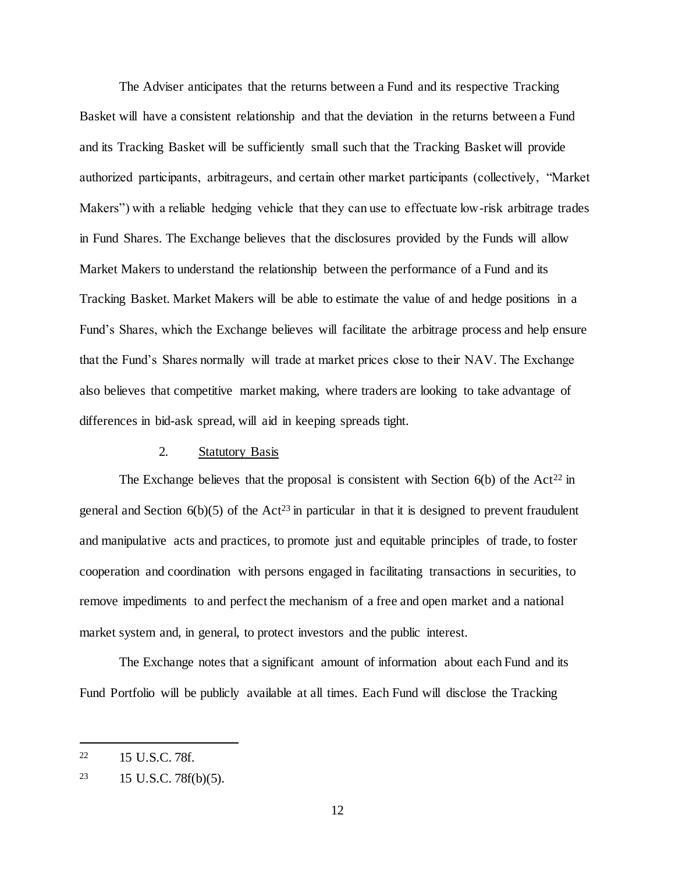The Adviser anticipates that the returns between a Fund and its respective Tracking Basket will have a consistent relationship and that the deviation in the returns between a Fund and its Tracking Basket will be sufficiently small such that the Tracking Basket will provide authorized participants, arbitrageurs, and certain other market participants (collectively, "Market Makers") with a reliable hedging vehicle that they can use to effectuate low-risk arbitrage trades in Fund Shares. The Exchange believes that the disclosures provided by the Funds will allow Market Makers to understand the relationship between the performance of a Fund and its Tracking Basket. Market Makers will be able to estimate the value of and hedge positions in a Fund's Shares, which the Exchange believes will facilitate the arbitrage process and help ensure that the Fund's Shares normally will trade at market prices close to their NAV. The Exchange also believes that competitive market making, where traders are looking to take advantage of differences in bid-ask spread, will aid in keeping spreads tight.

## 2. Statutory Basis

The Exchange believes that the proposal is consistent with Section  $6(b)$  of the Act<sup>22</sup> in general and Section  $6(b)(5)$  of the Act<sup>23</sup> in particular in that it is designed to prevent fraudulent and manipulative acts and practices, to promote just and equitable principles of trade, to foster cooperation and coordination with persons engaged in facilitating transactions in securities, to remove impediments to and perfect the mechanism of a free and open market and a national market system and, in general, to protect investors and the public interest.

The Exchange notes that a significant amount of information about each Fund and its Fund Portfolio will be publicly available at all times. Each Fund will disclose the Tracking

<sup>22</sup> 15 U.S.C. 78f.

<sup>23</sup> 15 U.S.C. 78f(b)(5).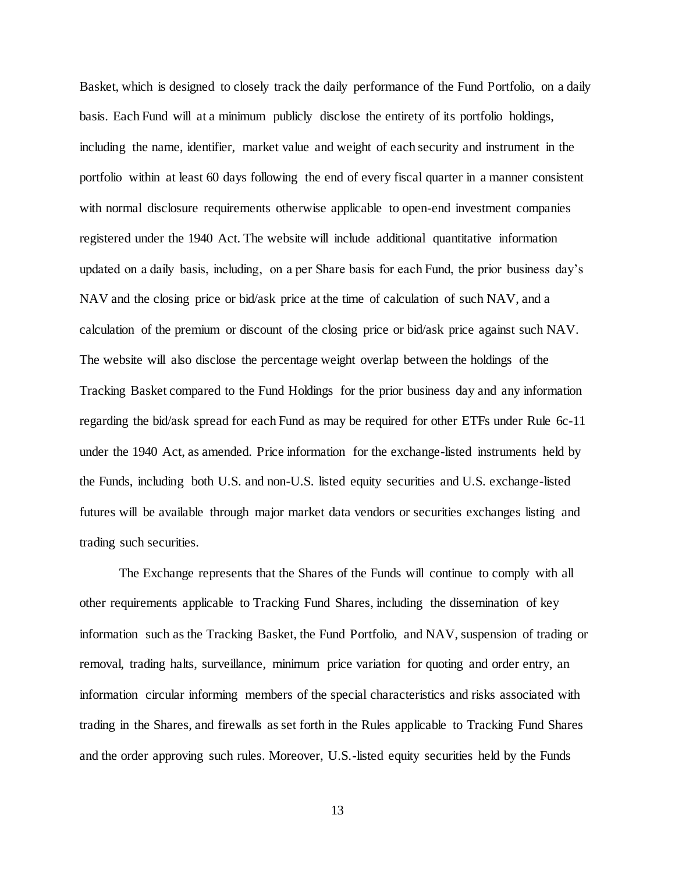Basket, which is designed to closely track the daily performance of the Fund Portfolio, on a daily basis. Each Fund will at a minimum publicly disclose the entirety of its portfolio holdings, including the name, identifier, market value and weight of each security and instrument in the portfolio within at least 60 days following the end of every fiscal quarter in a manner consistent with normal disclosure requirements otherwise applicable to open-end investment companies registered under the 1940 Act. The website will include additional quantitative information updated on a daily basis, including, on a per Share basis for each Fund, the prior business day's NAV and the closing price or bid/ask price at the time of calculation of such NAV, and a calculation of the premium or discount of the closing price or bid/ask price against such NAV. The website will also disclose the percentage weight overlap between the holdings of the Tracking Basket compared to the Fund Holdings for the prior business day and any information regarding the bid/ask spread for each Fund as may be required for other ETFs under Rule 6c-11 under the 1940 Act, as amended. Price information for the exchange-listed instruments held by the Funds, including both U.S. and non-U.S. listed equity securities and U.S. exchange-listed futures will be available through major market data vendors or securities exchanges listing and trading such securities.

The Exchange represents that the Shares of the Funds will continue to comply with all other requirements applicable to Tracking Fund Shares, including the dissemination of key information such as the Tracking Basket, the Fund Portfolio, and NAV, suspension of trading or removal, trading halts, surveillance, minimum price variation for quoting and order entry, an information circular informing members of the special characteristics and risks associated with trading in the Shares, and firewalls as set forth in the Rules applicable to Tracking Fund Shares and the order approving such rules. Moreover, U.S.-listed equity securities held by the Funds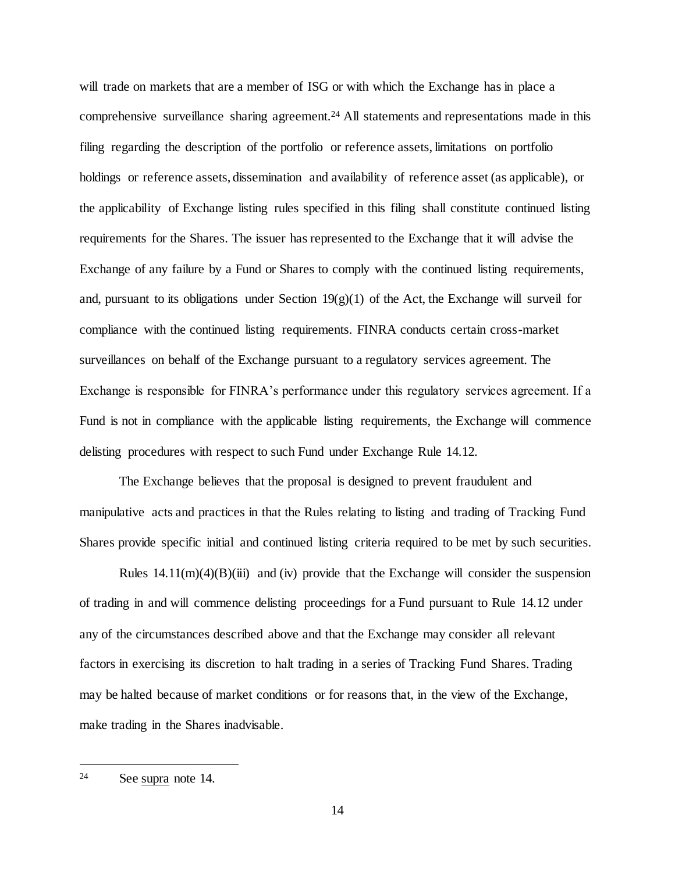will trade on markets that are a member of ISG or with which the Exchange has in place a comprehensive surveillance sharing agreement.<sup>24</sup> All statements and representations made in this filing regarding the description of the portfolio or reference assets, limitations on portfolio holdings or reference assets, dissemination and availability of reference asset (as applicable), or the applicability of Exchange listing rules specified in this filing shall constitute continued listing requirements for the Shares. The issuer has represented to the Exchange that it will advise the Exchange of any failure by a Fund or Shares to comply with the continued listing requirements, and, pursuant to its obligations under Section  $19(g)(1)$  of the Act, the Exchange will surveil for compliance with the continued listing requirements. FINRA conducts certain cross-market surveillances on behalf of the Exchange pursuant to a regulatory services agreement. The Exchange is responsible for FINRA's performance under this regulatory services agreement. If a Fund is not in compliance with the applicable listing requirements, the Exchange will commence delisting procedures with respect to such Fund under Exchange Rule 14.12.

The Exchange believes that the proposal is designed to prevent fraudulent and manipulative acts and practices in that the Rules relating to listing and trading of Tracking Fund Shares provide specific initial and continued listing criteria required to be met by such securities.

Rules  $14.11(m)(4)(B)(iii)$  and (iv) provide that the Exchange will consider the suspension of trading in and will commence delisting proceedings for a Fund pursuant to Rule 14.12 under any of the circumstances described above and that the Exchange may consider all relevant factors in exercising its discretion to halt trading in a series of Tracking Fund Shares. Trading may be halted because of market conditions or for reasons that, in the view of the Exchange, make trading in the Shares inadvisable.

<sup>24</sup> See supra note 14.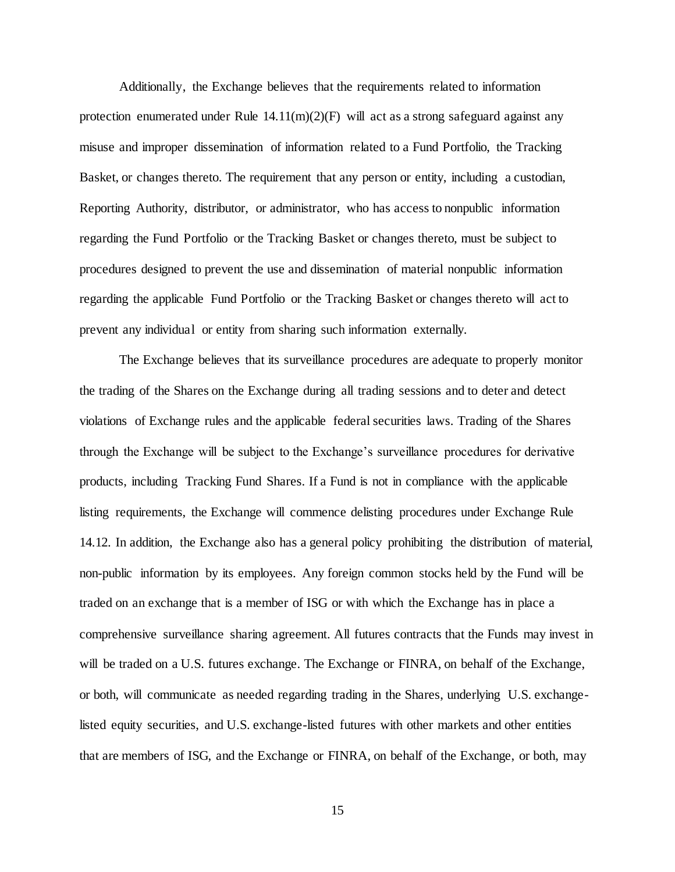Additionally, the Exchange believes that the requirements related to information protection enumerated under Rule  $14.11(m)(2)(F)$  will act as a strong safeguard against any misuse and improper dissemination of information related to a Fund Portfolio, the Tracking Basket, or changes thereto. The requirement that any person or entity, including a custodian, Reporting Authority, distributor, or administrator, who has access to nonpublic information regarding the Fund Portfolio or the Tracking Basket or changes thereto, must be subject to procedures designed to prevent the use and dissemination of material nonpublic information regarding the applicable Fund Portfolio or the Tracking Basket or changes thereto will act to prevent any individual or entity from sharing such information externally.

The Exchange believes that its surveillance procedures are adequate to properly monitor the trading of the Shares on the Exchange during all trading sessions and to deter and detect violations of Exchange rules and the applicable federal securities laws. Trading of the Shares through the Exchange will be subject to the Exchange's surveillance procedures for derivative products, including Tracking Fund Shares. If a Fund is not in compliance with the applicable listing requirements, the Exchange will commence delisting procedures under Exchange Rule 14.12. In addition, the Exchange also has a general policy prohibiting the distribution of material, non-public information by its employees. Any foreign common stocks held by the Fund will be traded on an exchange that is a member of ISG or with which the Exchange has in place a comprehensive surveillance sharing agreement. All futures contracts that the Funds may invest in will be traded on a U.S. futures exchange. The Exchange or FINRA, on behalf of the Exchange, or both, will communicate as needed regarding trading in the Shares, underlying U.S. exchangelisted equity securities, and U.S. exchange-listed futures with other markets and other entities that are members of ISG, and the Exchange or FINRA, on behalf of the Exchange, or both, may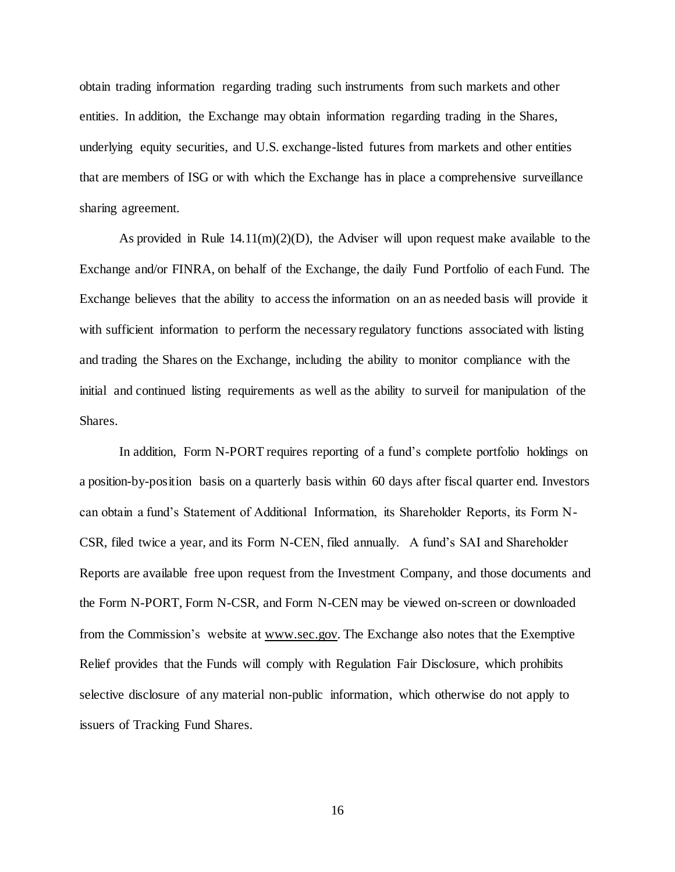obtain trading information regarding trading such instruments from such markets and other entities. In addition, the Exchange may obtain information regarding trading in the Shares, underlying equity securities, and U.S. exchange-listed futures from markets and other entities that are members of ISG or with which the Exchange has in place a comprehensive surveillance sharing agreement.

As provided in Rule  $14.11(m)(2)(D)$ , the Adviser will upon request make available to the Exchange and/or FINRA, on behalf of the Exchange, the daily Fund Portfolio of each Fund. The Exchange believes that the ability to access the information on an as needed basis will provide it with sufficient information to perform the necessary regulatory functions associated with listing and trading the Shares on the Exchange, including the ability to monitor compliance with the initial and continued listing requirements as well as the ability to surveil for manipulation of the Shares.

In addition, Form N-PORT requires reporting of a fund's complete portfolio holdings on a position-by-position basis on a quarterly basis within 60 days after fiscal quarter end. Investors can obtain a fund's Statement of Additional Information, its Shareholder Reports, its Form N-CSR, filed twice a year, and its Form N-CEN, filed annually. A fund's SAI and Shareholder Reports are available free upon request from the Investment Company, and those documents and the Form N-PORT, Form N-CSR, and Form N-CEN may be viewed on-screen or downloaded from the Commission's website at www.sec.gov. The Exchange also notes that the Exemptive Relief provides that the Funds will comply with Regulation Fair Disclosure, which prohibits selective disclosure of any material non-public information, which otherwise do not apply to issuers of Tracking Fund Shares.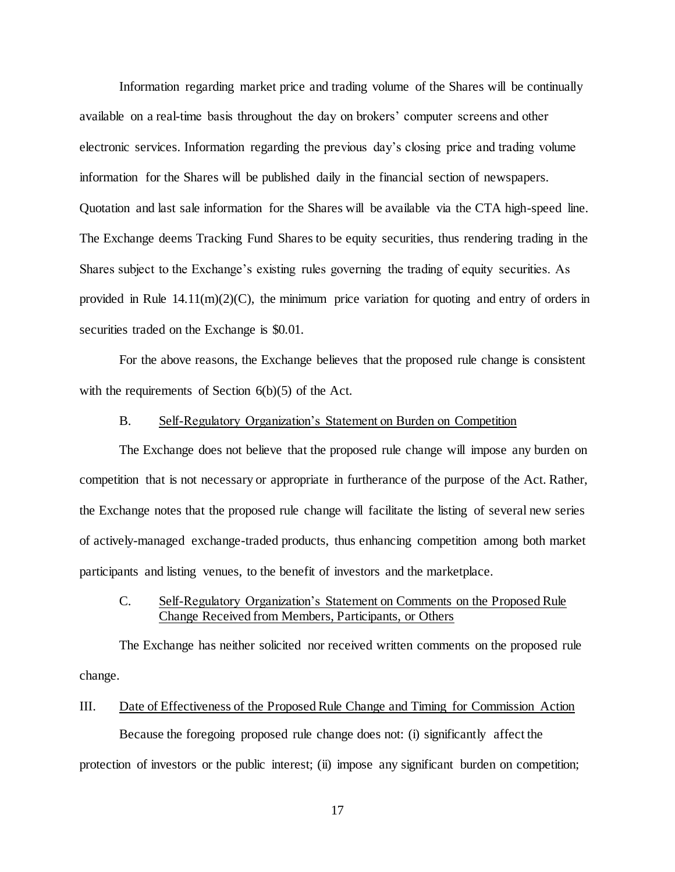Information regarding market price and trading volume of the Shares will be continually available on a real-time basis throughout the day on brokers' computer screens and other electronic services. Information regarding the previous day's closing price and trading volume information for the Shares will be published daily in the financial section of newspapers. Quotation and last sale information for the Shares will be available via the CTA high-speed line. The Exchange deems Tracking Fund Shares to be equity securities, thus rendering trading in the Shares subject to the Exchange's existing rules governing the trading of equity securities. As provided in Rule  $14.11(m)(2)(C)$ , the minimum price variation for quoting and entry of orders in securities traded on the Exchange is \$0.01.

For the above reasons, the Exchange believes that the proposed rule change is consistent with the requirements of Section  $6(b)(5)$  of the Act.

### B. Self-Regulatory Organization's Statement on Burden on Competition

The Exchange does not believe that the proposed rule change will impose any burden on competition that is not necessary or appropriate in furtherance of the purpose of the Act. Rather, the Exchange notes that the proposed rule change will facilitate the listing of several new series of actively-managed exchange-traded products, thus enhancing competition among both market participants and listing venues, to the benefit of investors and the marketplace.

# C. Self-Regulatory Organization's Statement on Comments on the Proposed Rule Change Received from Members, Participants, or Others

The Exchange has neither solicited nor received written comments on the proposed rule change.

# III. Date of Effectiveness of the Proposed Rule Change and Timing for Commission Action

Because the foregoing proposed rule change does not: (i) significantly affect the protection of investors or the public interest; (ii) impose any significant burden on competition;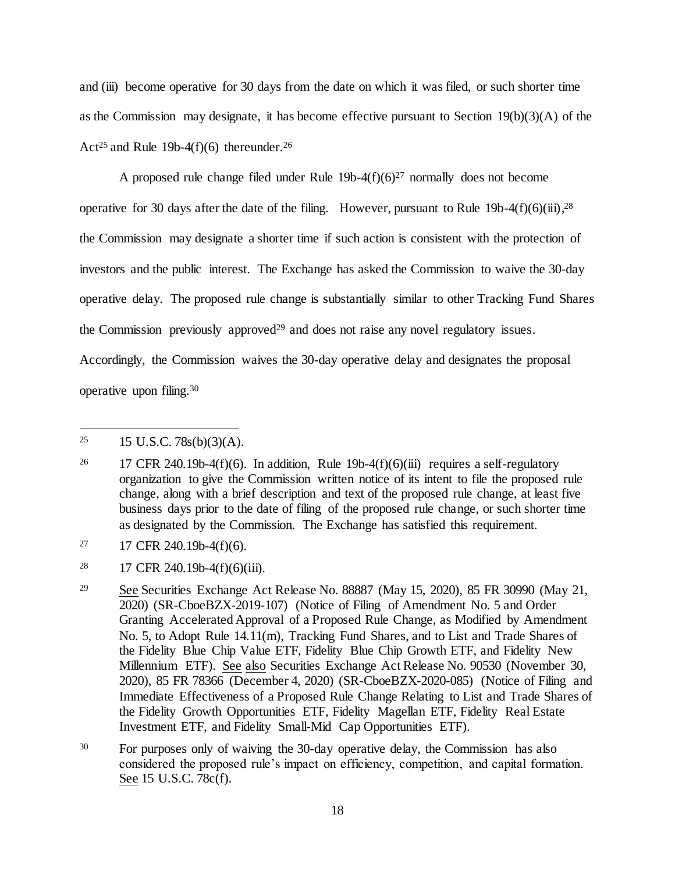and (iii) become operative for 30 days from the date on which it was filed, or such shorter time as the Commission may designate, it has become effective pursuant to Section 19(b)(3)(A) of the Act<sup>25</sup> and Rule 19b-4(f)(6) thereunder.<sup>26</sup>

A proposed rule change filed under Rule  $19b-4(f)(6)^{27}$  normally does not become operative for 30 days after the date of the filing. However, pursuant to Rule 19b-4(f)(6)(iii),  $28$ the Commission may designate a shorter time if such action is consistent with the protection of investors and the public interest. The Exchange has asked the Commission to waive the 30-day operative delay. The proposed rule change is substantially similar to other Tracking Fund Shares the Commission previously approved<sup>29</sup> and does not raise any novel regulatory issues. Accordingly, the Commission waives the 30-day operative delay and designates the proposal operative upon filing.<sup>30</sup>

- $27$  17 CFR 240.19b-4(f)(6).
- <sup>28</sup> 17 CFR 240.19b-4(f)(6)(iii).
- <sup>29</sup> See Securities Exchange Act Release No. 88887 (May 15, 2020), 85 FR 30990 (May 21, 2020) (SR-CboeBZX-2019-107) (Notice of Filing of Amendment No. 5 and Order Granting Accelerated Approval of a Proposed Rule Change, as Modified by Amendment No. 5, to Adopt Rule 14.11(m), Tracking Fund Shares, and to List and Trade Shares of the Fidelity Blue Chip Value ETF, Fidelity Blue Chip Growth ETF, and Fidelity New Millennium ETF). See also Securities Exchange Act Release No. 90530 (November 30, 2020), 85 FR 78366 (December 4, 2020) (SR-CboeBZX-2020-085) (Notice of Filing and Immediate Effectiveness of a Proposed Rule Change Relating to List and Trade Shares of the Fidelity Growth Opportunities ETF, Fidelity Magellan ETF, Fidelity Real Estate Investment ETF, and Fidelity Small-Mid Cap Opportunities ETF).
- <sup>30</sup> For purposes only of waiving the 30-day operative delay, the Commission has also considered the proposed rule's impact on efficiency, competition, and capital formation. See 15 U.S.C. 78c(f).

<sup>&</sup>lt;sup>25</sup> 15 U.S.C. 78s(b)(3)(A).

<sup>&</sup>lt;sup>26</sup> 17 CFR 240.19b-4(f)(6). In addition, Rule 19b-4(f)(6)(iii) requires a self-regulatory organization to give the Commission written notice of its intent to file the proposed rule change, along with a brief description and text of the proposed rule change, at least five business days prior to the date of filing of the proposed rule change, or such shorter time as designated by the Commission. The Exchange has satisfied this requirement.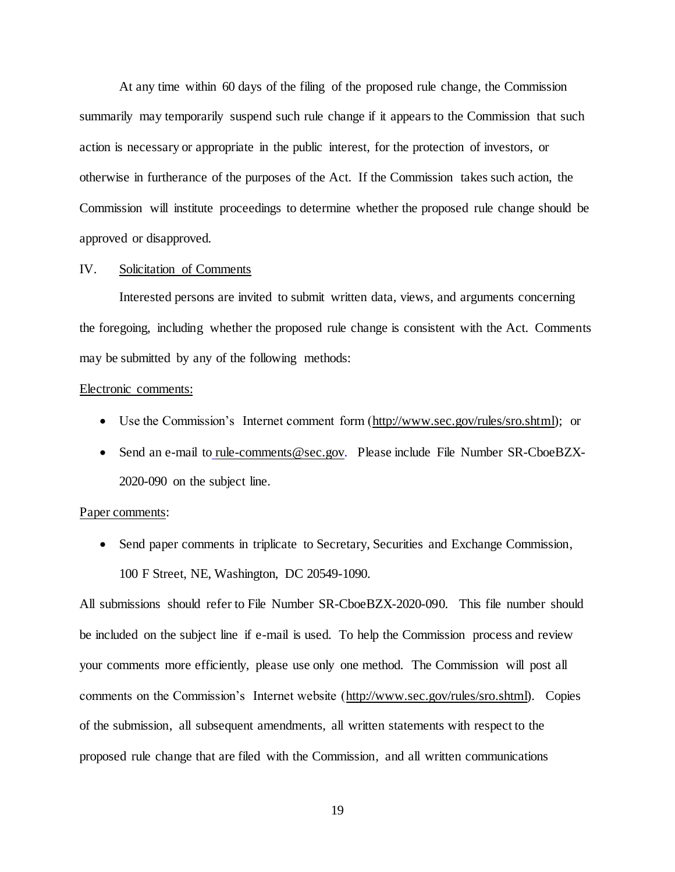At any time within 60 days of the filing of the proposed rule change, the Commission summarily may temporarily suspend such rule change if it appears to the Commission that such action is necessary or appropriate in the public interest, for the protection of investors, or otherwise in furtherance of the purposes of the Act. If the Commission takes such action, the Commission will institute proceedings to determine whether the proposed rule change should be approved or disapproved.

### IV. Solicitation of Comments

Interested persons are invited to submit written data, views, and arguments concerning the foregoing, including whether the proposed rule change is consistent with the Act. Comments may be submitted by any of the following methods:

#### Electronic comments:

- Use the Commission's Internet comment form (http://www.sec.gov/rules/sro.shtml); or
- Send an e-mail to rule-comments@sec.gov. Please include File Number SR-CboeBZX-2020-090 on the subject line.

#### Paper comments:

• Send paper comments in triplicate to Secretary, Securities and Exchange Commission, 100 F Street, NE, Washington, DC 20549-1090.

All submissions should refer to File Number SR-CboeBZX-2020-090. This file number should be included on the subject line if e-mail is used. To help the Commission process and review your comments more efficiently, please use only one method. The Commission will post all comments on the Commission's Internet website (http://www.sec.gov/rules/sro.shtml). Copies of the submission, all subsequent amendments, all written statements with respect to the proposed rule change that are filed with the Commission, and all written communications